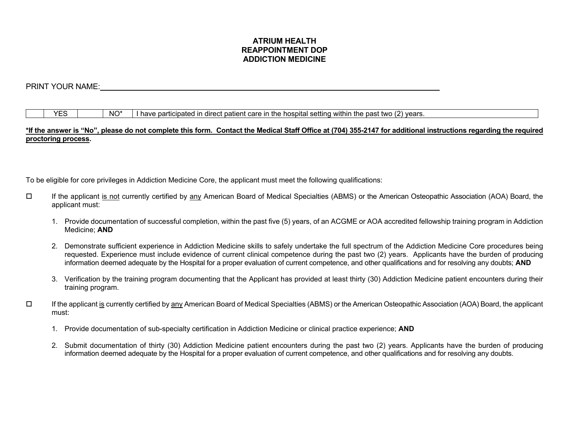# **ATRIUM HEALTH REAPPOINTMENT DOP ADDICTION MEDICINE**

# PRINT YOUR NAME:

 $YES$   $\vert$   $NO^*$   $\vert$  I have participated in direct patient care in the hospital setting within the past two (2) years.

#### **\*If the answer is "No", please do not complete this form. Contact the Medical Staff Office at (704) 355-2147 for additional instructions regarding the required proctoring process.**

To be eligible for core privileges in Addiction Medicine Core, the applicant must meet the following qualifications:

- If the applicant is not currently certified by any American Board of Medical Specialties (ABMS) or the American Osteopathic Association (AOA) Board, the applicant must:
	- 1. Provide documentation of successful completion, within the past five (5) years, of an ACGME or AOA accredited fellowship training program in Addiction Medicine; **AND**
	- 2. Demonstrate sufficient experience in Addiction Medicine skills to safely undertake the full spectrum of the Addiction Medicine Core procedures being requested. Experience must include evidence of current clinical competence during the past two (2) years. Applicants have the burden of producing information deemed adequate by the Hospital for a proper evaluation of current competence, and other qualifications and for resolving any doubts; **AND**
	- 3. Verification by the training program documenting that the Applicant has provided at least thirty (30) Addiction Medicine patient encounters during their training program.
- $\Box$  If the applicant is currently certified by any American Board of Medical Specialties (ABMS) or the American Osteopathic Association (AOA) Board, the applicant must:
	- 1. Provide documentation of sub-specialty certification in Addiction Medicine or clinical practice experience; **AND**
	- 2. Submit documentation of thirty (30) Addiction Medicine patient encounters during the past two (2) years. Applicants have the burden of producing information deemed adequate by the Hospital for a proper evaluation of current competence, and other qualifications and for resolving any doubts.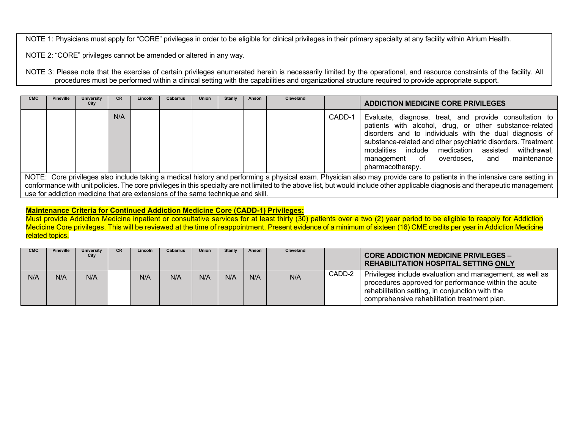NOTE 1: Physicians must apply for "CORE" privileges in order to be eligible for clinical privileges in their primary specialty at any facility within Atrium Health.

NOTE 2: "CORE" privileges cannot be amended or altered in any way.

NOTE 3: Please note that the exercise of certain privileges enumerated herein is necessarily limited by the operational, and resource constraints of the facility. All procedures must be performed within a clinical setting with the capabilities and organizational structure required to provide appropriate support.

| <b>CMC</b> | <b>Pineville</b> | <b>University</b><br>City | <b>CR</b> | Lincoln | Cabarrus | <b>Union</b> | Stanly | Anson | <b>Cleveland</b> |        | <b>ADDICTION MEDICINE CORE PRIVILEGES</b>                                                                                                                                                                                                                                                                                                                                |
|------------|------------------|---------------------------|-----------|---------|----------|--------------|--------|-------|------------------|--------|--------------------------------------------------------------------------------------------------------------------------------------------------------------------------------------------------------------------------------------------------------------------------------------------------------------------------------------------------------------------------|
|            |                  |                           | N/A       |         |          |              |        |       |                  | CADD-1 | Evaluate, diagnose, treat, and provide consultation to<br>patients with alcohol, drug, or other substance-related<br>disorders and to individuals with the dual diagnosis of<br>substance-related and other psychiatric disorders. Treatment<br>modalities include medication assisted<br>withdrawal,<br>maintenance<br>management of overdoses, and<br>pharmacotherapy. |

NOTE: Core privileges also include taking a medical history and performing a physicial exam. Physician also may provide care to patients in the intensive care setting in conformance with unit policies. The core privileges in this specialty are not limited to the above list, but would include other applicable diagnosis and therapeutic management use for addiction medicine that are extensions of the same technique and skill.

## **Maintenance Criteria for Continued Addiction Medicine Core (CADD-1) Privileges:**

Must provide Addiction Medicine inpatient or consultative services for at least thirty (30) patients over a two (2) year period to be eligible to reapply for Addiction Medicine Core privileges. This will be reviewed at the time of reappointment. Present evidence of a minimum of sixteen (16) CME credits per year in Addiction Medicine related topics.

| <b>CMC</b> | Pineville | University<br>City | CR. | Lincoln | Cabarrus | <b>Union</b> | <b>Stanly</b> | Anson | Cleveland |        | <b>CORE ADDICTION MEDICINE PRIVILEGES -</b><br><b>REHABILITATION HOSPITAL SETTING ONLY</b>                                                                                                                          |
|------------|-----------|--------------------|-----|---------|----------|--------------|---------------|-------|-----------|--------|---------------------------------------------------------------------------------------------------------------------------------------------------------------------------------------------------------------------|
| N/A        | N/A       | N/A                |     | N/A     | N/A      | N/A          | N/A           | N/A   | N/A       | CADD-2 | Privileges include evaluation and management, as well as<br>procedures approved for performance within the acute<br>rehabilitation setting, in conjunction with the<br>comprehensive rehabilitation treatment plan. |